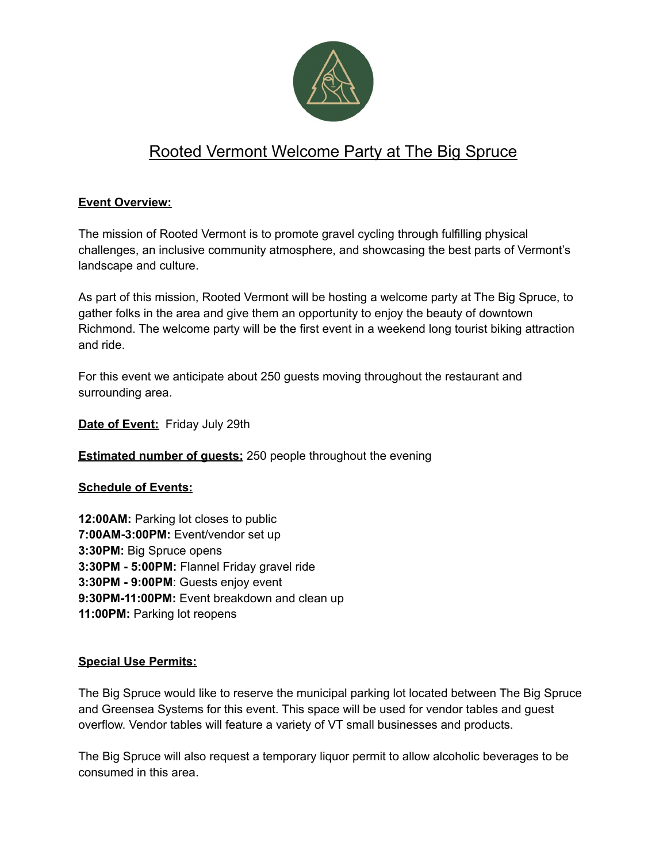

## Rooted Vermont Welcome Party at The Big Spruce

#### **Event Overview:**

The mission of Rooted Vermont is to promote gravel cycling through fulfilling physical challenges, an inclusive community atmosphere, and showcasing the best parts of Vermont's landscape and culture.

As part of this mission, Rooted Vermont will be hosting a welcome party at The Big Spruce, to gather folks in the area and give them an opportunity to enjoy the beauty of downtown Richmond. The welcome party will be the first event in a weekend long tourist biking attraction and ride.

For this event we anticipate about 250 guests moving throughout the restaurant and surrounding area.

**Date of Event:** Friday July 29th

**Estimated number of quests:** 250 people throughout the evening

#### **Schedule of Events:**

**12:00AM:** Parking lot closes to public **7:00AM-3:00PM:** Event/vendor set up **3:30PM:** Big Spruce opens **3:30PM - 5:00PM:** Flannel Friday gravel ride **3:30PM - 9:00PM**: Guests enjoy event **9:30PM-11:00PM:** Event breakdown and clean up **11:00PM:** Parking lot reopens

#### **Special Use Permits:**

The Big Spruce would like to reserve the municipal parking lot located between The Big Spruce and Greensea Systems for this event. This space will be used for vendor tables and guest overflow. Vendor tables will feature a variety of VT small businesses and products.

The Big Spruce will also request a temporary liquor permit to allow alcoholic beverages to be consumed in this area.